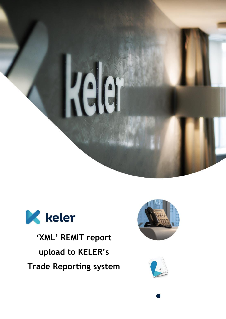



**'XML' REMIT report upload to KELER's Trade Reporting system**



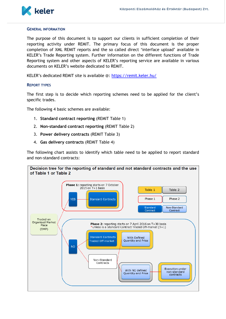

# **GENERAL INFORMATION**

The purpose of this document is to support our clients in sufficient completion of their reporting activity under REMIT. The primary focus of this document is the proper completion of XML REMIT reports and the so called direct 'interface upload' available in KELER's Trade Reporting system. Further information on the different functions of Trade Reporting system and other aspects of KELER's reporting service are available in various documents on KELER's website dedicated to REMIT.

KELER's dedicated REMIT site is available @:<https://remit.keler.hu/>

# **REPORT TYPES**

The first step is to decide which reporting schemes need to be applied for the client's specific trades.

The following 4 basic schemes are available:

- 1. **Standard contract reporting** (REMIT Table 1)
- 2. **Non-standard contract reporting** (REMIT Table 2)
- 3. **Power delivery contracts** (REMIT Table 3)
- 4. **Gas delivery contracts** (REMIT Table 4)

The following chart assists to identify which table need to be applied to report standard and non-standard contracts:

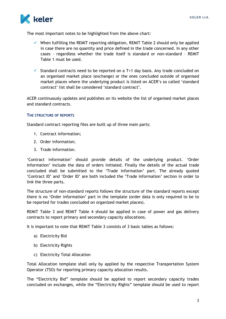

The most important notes to be highlighted from the above chart:

- $\checkmark$  When fulfilling the REMIT reporting obligation, REMIT Table 2 should only be applied in case there are no quantity and price defined in the trade concerned. In any other cases - regardless whether the trade itself is standard or non-standard – REMIT Table 1 must be used.
- $\checkmark$  Standard contracts need to be reported on a T+1 day basis. Any trade concluded on an organised market place (exchange) or the ones concluded outside of organised market places where the underlying product is listed on ACER's so called 'standard contract' list shall be considered 'standard contract'.

ACER continuously updates and publishes on its website the list of organised market places and standard contracts.

# **THE STRUCTURE OF REPORTS**

Standard contract reporting files are built up of three main parts:

- 1. Contract information;
- 2. Order information;
- 3. Trade information.

'Contract information' should provide details of the underlying product. 'Order information' include the data of orders initiated. Finally the details of the actual trade concluded shall be submitted to the 'Trade information' part. The already quoted 'Contract ID' and 'Order ID' are both included the 'Trade information' section in order to link the three parts.

The structure of non-standard reports follows the structure of the standard reports except there is no 'Order information' part in the template (order data is only required to be to be reported for trades concluded on organized market places).

REMIT Table 3 and REMIT Table 4 should be applied in case of power and gas delivery contracts to report primary and secondary capacity allocations.

It is important to note that REMIT Table 3 consists of 3 basic tables as follows:

- a) Electricity Bid
- b) Electricity Rights
- c) Electricity Total Allocation

Total Allocation template shall only by applied by the respective Transportation System Operator (TSO) for reporting primary capacity allocation results.

The "Electricity Bid" template should be applied to report secondary capacity trades concluded on exchanges, while the "Electricity Rights" template should be used to report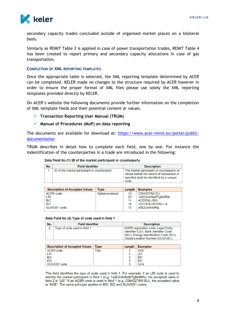

secondary capacity trades concluded outside of organised market places on a bilateral basis.

Similarly as REMIT Table 3 is applied in case of power transportation trades, REMIT Table 4 has been created to report primary and secondary capacity allocations in case of gas transportation.

# **COMPLETION OF XML REPORTING TEMPLATES**

Once the appropriate table is selected, the XML reporting template determined by ACER can be completed. KELER made no changes to the structure required by ACER however in order to ensure the proper format of XML files please use solely the XML reporting templates provided directly by KELER.

On ACER's website the following documents provide further information on the completion of XML template fields and their potential content or values.

- **Transaction Reporting User Manual (TRUM)**
- **Manual of Procedures (MoP) on data reporting**

The documents are available for download at: [https://www.acer-remit.eu/portal/public](https://www.acer-remit.eu/portal/public-documentation)[documentation](https://www.acer-remit.eu/portal/public-documentation)

TRUM describes in detail how to complete each field, one by one. For instance the indentification of the counterparties in a trade are introduced in the following:

| Data Field No (1) ID of the market participant or counterparty |  |  |  |  |  |
|----------------------------------------------------------------|--|--|--|--|--|
|----------------------------------------------------------------|--|--|--|--|--|

| No. | <b>Field Identifier</b>                      | <b>Description</b>                                                                                                                          |
|-----|----------------------------------------------|---------------------------------------------------------------------------------------------------------------------------------------------|
|     | ID of the market participant or counterparty | The market participant or counterparty on<br>whose behalf the record of transaction is<br>reported shall be identified by a unique<br>code. |

| <b>Description of Accepted Values</b> | Tvpe           | Length | <b>Examples</b>      |
|---------------------------------------|----------------|--------|----------------------|
| ACER code                             | Alphanumerical | 12     | C0643278W.EU         |
| LEI                                   |                | 20     | 1a2b3c4d5e6f7g8e9f0h |
| <b>BIC</b>                            |                | 11     | ACERSILJ500          |
| <b>EIC</b>                            |                | 16     | 10YCB-EUROPEU--8     |
| GLN/GS1 code                          |                | 13     | a1b2c3d4e5f6ɑ        |

#### Data Field No (2) Type of code used in field 1

| No. | <b>Field Identifier</b>      | <b>Description</b>                                                                                                                                              |
|-----|------------------------------|-----------------------------------------------------------------------------------------------------------------------------------------------------------------|
|     | Type of code used in field 1 | ACER registration code, Legal Entity<br>Identifier (LEI), Bank Identifier Code<br>(BIC), Energy Identification Code (EIC),<br>Global Location Number (GLN/GS1). |

| <b>Description of Accepted Values</b> | <b>Type</b> | Length $ $ | <b>Examples</b> |
|---------------------------------------|-------------|------------|-----------------|
| ACER code                             | Text        |            | <b>ACE</b>      |
| LEI                                   |             |            | LEI             |
| <b>BIC</b>                            |             | 2<br>ت     | <b>BIC</b>      |
| <b>EIC</b>                            |             | 3          | <b>EIC</b>      |
| GLN/GS1 code                          |             |            | <b>GLN</b>      |

This field identifies the type of code used in field 1. For example, if an LEI code is used to identify the market participant in field 1 (e.g. 1a2b3c4d5e6f7g8e9f0h), the accepted value in field 2 is "LEI". If an ACER code is used in field 1 (e.g. C0643278W.EU), the accepted value is "ACE". The same principle applies to BIC, EIC and GLN/GS1 codes.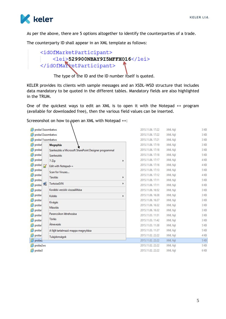

As per the above, there are 5 options altogether to identify the counterparties of a trade.

The counterparty ID shall appear in an XML template as follows:

# <id0fMarketParticipant> <lei>529900NBAY9I5MFFX016</lei> </id0fMarketParticipant>

The type of the ID and the ID number itself is quoted.

KELER provides its clients with sample messages and an XSDL-WSD structure that includes data mandatory to be quoted in the different tables. Mandatory fields are also highlighted in the TRUM.

One of the quickest ways to edit an XML is to open it with the Notepad ++ program (available for downloaded free), then the various field values can be inserted.

Screeonshot on how to open an XML with Notepad ++:

| proba13szombatws<br>e                                                 |                                       | 2015.11.06. 17:22 | XML fájl | 3 KB        |  |  |  |  |
|-----------------------------------------------------------------------|---------------------------------------|-------------------|----------|-------------|--|--|--|--|
| proba12szombatws<br>e                                                 | 2015.11.06. 17:22<br>3 KB<br>XML fájl |                   |          |             |  |  |  |  |
| proba11szombatws<br>e                                                 |                                       | 2015.11.06. 17:21 | XML fájl | 3 KB        |  |  |  |  |
| proba!<br><b>Megnyitás</b>                                            |                                       | 2015.11.06. 17:19 | XML fájl | 3 KB        |  |  |  |  |
| e<br>probal<br>Szerkesztés a Microsoft SharePoint Designer programmal |                                       | 2015.11.06. 17:18 | XML fájl | 3 KB        |  |  |  |  |
| e<br>probal<br>Szerkesztés                                            |                                       | 2015.11.06. 17:18 | XML fájl | 5 KB        |  |  |  |  |
| e<br>probat<br>7-Zip                                                  | ь                                     | 2015.11.06. 17:17 | XML fáil | 4 KB        |  |  |  |  |
| ê<br>probal <sub>2</sub><br>Edit with Notepad++                       |                                       | 2015.11.06. 17:16 | XML fájl | 4 KB        |  |  |  |  |
| e<br>proba-<br>Scan for Viruses                                       |                                       | 2015.11.06. 17:13 | XML fájl | 5 KB        |  |  |  |  |
| ê<br>proba <sup>1</sup><br>Társítás                                   | r                                     | 2015.11.06. 17:12 | XML fájl | 4 KB        |  |  |  |  |
| ê<br>proba <sub>4</sub>                                               |                                       | 2015.11.06. 17:11 | XML fájl | 5 KB        |  |  |  |  |
| <b>TortoiseSVN</b><br>proba: 1                                        | r                                     | 2015.11.06. 17:11 | XML fájl | 6 KB        |  |  |  |  |
| ê<br>Korábbi verziók visszaállítása<br>proba <sup>1</sup>             |                                       | 2015.11.06. 16:52 | XML fájl | 3 KB        |  |  |  |  |
| ê<br>proba <sup>1</sup><br>Küldés                                     | r                                     | 2015.11.06. 16:38 | XML fájl | 3 KB        |  |  |  |  |
| ê<br>proba <sup>-</sup><br>Kivágás                                    |                                       | 2015.11.06. 16:37 | XML fájl | 3 KB        |  |  |  |  |
| e<br>proba)<br>Másolás                                                |                                       | 2015.11.06. 16:32 | XML fájl | 3 KB        |  |  |  |  |
| e<br>proba <sup>-</sup>                                               |                                       | 2015.11.06. 16:32 | XML fájl | 3 KB        |  |  |  |  |
| Parancsikon létrehozása<br>e<br>proba <sup>1</sup>                    |                                       | 2015.11.03.11:51  | XML fájl | 3 KB        |  |  |  |  |
| Törlés<br>ê<br>proba <sup>-</sup>                                     |                                       | 2015.11.03. 11:42 | XML fájl | 3 KB        |  |  |  |  |
| Átnevezés<br>ê<br>probal                                              |                                       | 2015.11.03.11:38  | XML fájl | <b>5 KB</b> |  |  |  |  |
| e<br>probal<br>A fájlt tartalmazó mappa megnyitása                    |                                       | 2015.11.03. 11:37 | XML fájl | 5 KB        |  |  |  |  |
| e<br>proba <sup>1</sup><br>Tulajdonságok                              |                                       | 2015.11.02. 22:22 | XML fájl | 4 KB        |  |  |  |  |
| probaz                                                                |                                       | 2015.11.02.22:22  | XML fájl | 5 KB        |  |  |  |  |
| proba2ws                                                              |                                       | 2015.11.02.22:22  | XML fájl | 5 KB        |  |  |  |  |
| e proba3                                                              |                                       | 2015.11.02.22:22  | XML fájl | 6 KB        |  |  |  |  |
|                                                                       |                                       |                   |          |             |  |  |  |  |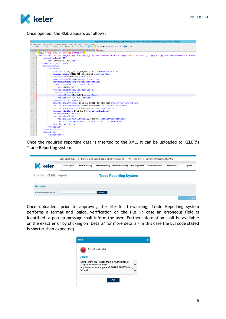

Once opened, the XML appears as follows:

| Y               | *\\Fserver3\userhome\$\szarkaq\My Documents\REMIT\REMIT mintafájlok\jelentések kedd\proba2.xml - Notepad++                                     |
|-----------------|------------------------------------------------------------------------------------------------------------------------------------------------|
|                 | File Edit Search View Encoding Language Settings Macro Run TextFX Plugins Window ?                                                             |
|                 | 8 2 2 2 3 4 3 4 4 4 4 4 4 4 4 4 4 5 7 F 8 8 8 8 8 8 8 8 8 8 8 8 8 8 8 8 8                                                                      |
|                 | 20151209 REMITTable1 V2 B00009813.HU 3xml   9 RT0004662016021610000375752xml   9 0222 0xml   9 proba2xml                                       |
|                 | xml version="1.0" encoding="UTF-8"?                                                                                                            |
| $\overline{2}$  | E <remittable1 xmlns="http://www.acer.europa.eu/REMIT/REMITTable1 V1.xsd" xmlns:xsi="http://www.w3.org/2001/XMLSchema-instance"></remittable1> |
| 3               | <reportingentityid></reportingentityid>                                                                                                        |
| $\overline{4}$  | <ace>B00009813.HU</ace>                                                                                                                        |
| 5               |                                                                                                                                                |
| 6               | <contractlist></contractlist>                                                                                                                  |
|                 | $<$ contract>                                                                                                                                  |
| 8               | <contractid>Aj1 21YEU NG 20151103T12:00</contractid>                                                                                           |
| 9               | <contractname>CEGHSPOT Day Ahead</contractname>                                                                                                |
| 10              | <contracttype>CO</contracttype>                                                                                                                |
| 11              | <energycommodity>NG</energycommodity>                                                                                                          |
| 12.             | <settlementmethod>P</settlementmethod>                                                                                                         |
| 13              | <organisedmarketplaceidentifier></organisedmarketplaceidentifier>                                                                              |
| 14              | <mic>KCEG</mic>                                                                                                                                |
| 15              |                                                                                                                                                |
| 16              | <contracttradinghours></contracttradinghours>                                                                                                  |
| 17              | <starttime>00:00:00Z</starttime>                                                                                                               |
| 18              | <endtime>24:00:00Z</endtime>                                                                                                                   |
| 19              |                                                                                                                                                |
| 20              | <lasttradingdatetime>2015-11-02T12:00:00+02:00</lasttradingdatetime>                                                                           |
| 21              | <deliverypointorzone>21Y00000000009E</deliverypointorzone>                                                                                     |
| 22              | <delivervstartdate>2015-11-03</delivervstartdate>                                                                                              |
| 23              | <deliveryenddate>2015-11-04</deliveryenddate>                                                                                                  |
| 24              | <loadtype>GD</loadtype>                                                                                                                        |
| 25              | <deliveryprofile></deliveryprofile>                                                                                                            |
| 26              | <loaddeliverystarttime>10:00:00</loaddeliverystarttime>                                                                                        |
| 27              | <loaddeliveryendtime>11:00:00</loaddeliveryendtime>                                                                                            |
| 28              |                                                                                                                                                |
| 29              |                                                                                                                                                |
| 30              |                                                                                                                                                |
| 31<br>Ė         | <orderlist></orderlist>                                                                                                                        |
| 32 <sub>2</sub> | $20rd$ ar $P$ anort $\lambda$                                                                                                                  |

Once the required reporting data is inserted to the XML, it can be uploaded to KELER's Trade Reporting system:

| <b>Upload report</b> | <b>EMIR Monitoring</b>     | <b>REMIT Monitoring</b>     | <b>General Monitoring</b> | <b>Daily inspections</b>                                  | <b>User information</b>                                  | <b>Fee analytics</b> | <b>Options</b>                 |
|----------------------|----------------------------|-----------------------------|---------------------------|-----------------------------------------------------------|----------------------------------------------------------|----------------------|--------------------------------|
|                      |                            |                             |                           |                                                           |                                                          |                      |                                |
|                      |                            |                             |                           |                                                           |                                                          |                      |                                |
|                      |                            | Browsing                    |                           |                                                           |                                                          |                      |                                |
|                      | <b>Upload REMIT report</b> | <b>User: Szarka Gergely</b> |                           | Client: Központi Elszámolóház és Értéktár (Budapest) Zrt. | <b>Time lock: 49:04</b><br><b>Trade Reporting System</b> |                      | Version: TREP.030.KEL-SNAPSHOT |

Once uploaded, prior to approving the file for forwarding, Trade Reporting system performs a format and logical verification on the file. In case an erroneous field is identified, a pop-up message shall inform the user. Further information shall be available on the exact error by clicking on 'Details' for more details – in this case the LEI code stated is shorter than expected).

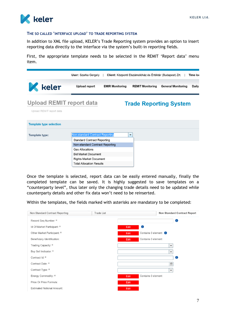

# **THE SO CALLED 'INTERFACE UPLOAD' TO TRADE REPORTING SYSTEM**

In addition to XML file upload, KELER's Trade Reporting system provides an option to insert reporting data directly to the interface via the system's built-in reporting fields.

First, the appropriate template needs to be selected in the REMIT 'Report data' menu item.

|                                                             | User: Szarka Gergely                                                         |                        | Client: Központi Elszámolóház és Értéktár (Budapest) Zrt. |                               | Time loo |
|-------------------------------------------------------------|------------------------------------------------------------------------------|------------------------|-----------------------------------------------------------|-------------------------------|----------|
| <b>K</b> keler                                              | <b>Upload report</b>                                                         | <b>EMIR Monitoring</b> | <b>REMIT Monitoring</b>                                   | <b>General Monitoring</b>     | Daily    |
| <b>Upload REMIT report data</b><br>Upload REMIT report data |                                                                              |                        |                                                           | <b>Trade Reporting System</b> |          |
| <b>Template type selection</b>                              |                                                                              |                        |                                                           |                               |          |
| <b>Template type:</b>                                       | <b>Non-standard Contract Reporting</b><br><b>Standard Contract Reporting</b> |                        | $\overline{\phantom{a}}$                                  |                               |          |
|                                                             | Non-standard Contract Reporting<br>Gas Allocations                           |                        |                                                           |                               |          |
|                                                             | <b>Bid Market Document</b>                                                   |                        |                                                           |                               |          |
|                                                             | <b>Rights Market Document</b><br><b>Total Allocation Results</b>             |                        |                                                           |                               |          |

Once the template is selected, report data can be easily entered manually, finally the completed template can be saved. It is highly suggested to save templates on a "counterparty level", thus later only the changing trade details need to be updated while counterparty details and other fix data won't need to be reinserted.

Within the templates, the fields marked with asterisks are mandatory to be completed:

| Non Standard Contract Reporting   | <b>Trade List</b> | <b>Non Standard Contract Report</b> |
|-----------------------------------|-------------------|-------------------------------------|
| Record Seq Number: *              |                   | Φ                                   |
| Id Of Market Participant: *       |                   | O<br>Edit                           |
| Other Market Participant: *       |                   | Contains 0 element <b>a</b><br>Edit |
| Beneficiary Identification:       |                   | Contains 0 element<br>Edit          |
| Trading Capacity: *               |                   | $\overline{\phantom{a}}$            |
| Buy Sell Indicator: *             |                   | $\overline{\phantom{a}}$            |
| Contract Id: *                    |                   | Φ                                   |
| Contract Date: *                  |                   | $\frac{28}{31}$                     |
| Contract Type: *                  |                   | $\overline{\phantom{a}}$            |
| Energy Commodity: *               |                   | Contains 0 element<br>Edit          |
| Price Or Price Formula:           |                   | Edit                                |
| <b>Estimated Notional Amount:</b> |                   | Edit                                |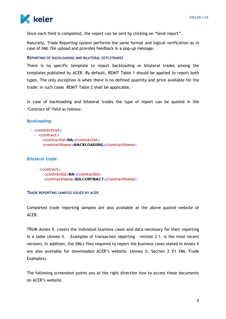

Once each field is completed, the report can be sent by clicking on "Send report".

Naturally, Trade Reporting system performs the same format and logical verification as in case of XML file upload and provides feedback in a pop-up message.

# **REPORTING OF BACKLOADING AND BILATERAL (OTC)TRADES**

There is no specific template to report backloading or bilateral trades among the templates published by ACER. By default, REMIT Table 1 should be applied to report both types. The only exception is when there is no defined quantity and price available for the trade: in such cases REMIT Table 2 shall be applicable.

In case of backloading and bilateral trades the type of report can be quoted in the 'Contract Id' field as follows:

### *Backloading:*

#### $-$  <contractList>

- $-$  <contract>
	- <contractId>NA</contractId> <contractName>BACKLOADING</contractName>

# *Bilateral trade:*

```
- <contract>
<contractId>NA</contractId>
<contractName>BILCONTRACT</contractName>
```
# **TRADE REPORTING SAMPLES ISSUED BY ACER**

Completed trade reporting samples are also available at the above quoted website of ACER.

TRUM Annex II. covers the individual business cases and data necessary for their reporting in a table (Annex II. – Examples of transaction reporting – version 2.1. is the most recent version). In addition, the XMLs files required to report the business cases stated in Annex II are also available for downloaded ACER's website. (Annex II. Section 2 V1 XML Trade Examples).

The following screenshot points you at the right direction how to access these documents on ACER's website.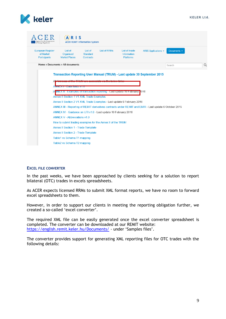

| <b>Energy Regulators</b>                                     | ARIS                                                                          | <b>ACER REMIT Information System</b>           |                     |                                                          |                                                                                                        |             |   |
|--------------------------------------------------------------|-------------------------------------------------------------------------------|------------------------------------------------|---------------------|----------------------------------------------------------|--------------------------------------------------------------------------------------------------------|-------------|---|
| <b>European Register</b><br>of Market<br><b>Participants</b> | List of<br>Organised<br><b>Market Places</b>                                  | List of<br><b>Standard</b><br><b>Contracts</b> | <b>List of RRMs</b> | <b>List of Inside</b><br>Information<br><b>Platforms</b> | ARIS Applications +                                                                                    | Documents - |   |
|                                                              | Home » Documents » All documents                                              |                                                |                     |                                                          |                                                                                                        | Search      | Q |
|                                                              |                                                                               |                                                |                     |                                                          | Transaction Reporting User Manual (TRUM) - Last update 30 September 2015                               |             |   |
|                                                              | ANNLA I - Data Herus VI.U                                                     |                                                |                     |                                                          |                                                                                                        |             |   |
| Α                                                            | <u> NNEX II - Examples of transaction reporting - Last update 16 February</u> |                                                |                     |                                                          | 016                                                                                                    |             |   |
|                                                              | <b>Annex II Section 1 V1 XML Trade Examples</b>                               |                                                |                     |                                                          |                                                                                                        |             |   |
|                                                              | Annex II Section 2 V1 XML Trade Examples - Last update 6 February 2016        |                                                |                     |                                                          |                                                                                                        |             |   |
|                                                              |                                                                               |                                                |                     |                                                          | ANNEX III - Reporting of REMIT derivatives contracts under REMIT and EMIR - Last update 6 October 2015 |             |   |
|                                                              | ANNEX IV - Guidance on UTI v1.0 - Last update 16 February 2016                |                                                |                     |                                                          |                                                                                                        |             |   |
|                                                              | ANNEX V - Abbreviations v1 0                                                  |                                                |                     |                                                          |                                                                                                        |             |   |
|                                                              | How to submit trading examples for the Annex II of the TRUM                   |                                                |                     |                                                          |                                                                                                        |             |   |
|                                                              | <b>Annex II Section 1 - Trade Template</b>                                    |                                                |                     |                                                          |                                                                                                        |             |   |
|                                                              | <b>Annex II Section 2 - Trade Template</b>                                    |                                                |                     |                                                          |                                                                                                        |             |   |
|                                                              | Table1 vs Schema T1 mapping                                                   |                                                |                     |                                                          |                                                                                                        |             |   |
|                                                              | Table2 vs Schema T2 mapping                                                   |                                                |                     |                                                          |                                                                                                        |             |   |

# **EXCEL FILE CONVERTER**

In the past weeks, we have been approached by clients seeking for a solution to report bilateral (OTC) trades in excels spreadsheets.

As ACER expects licensed RRMs to submit XML format reports, we have no room to forward excel spreadsheets to them.

However, in order to support our clients in meeting the reporting obligation further, we created a so-called 'excel converter'.

The required XML file can be easily generated once the excel converter spreadsheet is completed. The converter can be downloaded at our REMIT website: <https://english.remit.keler.hu/Documents/> - under 'Samples files'.

The converter provides support for generating XML reporting files for OTC trades with the following details: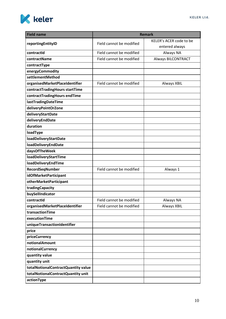

| <b>Field name</b>                   |                          | <b>Remark</b>             |
|-------------------------------------|--------------------------|---------------------------|
|                                     | Field cannot be modified | KELER's ACER code to be   |
| reportingEntityID                   |                          | entered always            |
| contractId                          | Field cannot be modified | Always NA                 |
| contractName                        | Field cannot be modified | <b>Always BILCONTRACT</b> |
| contractType                        |                          |                           |
| energyCommodity                     |                          |                           |
| settlementMethod                    |                          |                           |
| organisedMarketPlaceIdentifier      | Field cannot be modified | <b>Always XBIL</b>        |
| contractTradingHours startTime      |                          |                           |
| contractTradingHours endTime        |                          |                           |
| lastTradingDateTime                 |                          |                           |
| deliveryPointOrZone                 |                          |                           |
| deliveryStartDate                   |                          |                           |
| deliveryEndDate                     |                          |                           |
| duration                            |                          |                           |
| loadType                            |                          |                           |
| <b>loadDeliveryStartDate</b>        |                          |                           |
| <b>loadDeliveryEndDate</b>          |                          |                           |
| daysOfTheWeek                       |                          |                           |
| <b>loadDeliveryStartTime</b>        |                          |                           |
| loadDeliveryEndTime                 |                          |                           |
| RecordSeqNumber                     | Field cannot be modified | Always 1                  |
| idOfMarketParticipant               |                          |                           |
| otherMarketParticipant              |                          |                           |
| tradingCapacity                     |                          |                           |
| buySellIndicator                    |                          |                           |
| contractid                          | Field cannot be modified | <b>Always NA</b>          |
| organisedMarketPlaceIdentifier      | Field cannot be modified | Always XBIL               |
| transactionTime                     |                          |                           |
| executionTime                       |                          |                           |
| uniqueTransactionIdentifier         |                          |                           |
| price<br>priceCurrency              |                          |                           |
| notionalAmount                      |                          |                           |
| notionalCurrency                    |                          |                           |
| quantity value                      |                          |                           |
| quantity unit                       |                          |                           |
| totalNotionalContractQuantity value |                          |                           |
| totalNotionalContractQuantity unit  |                          |                           |
| actionType                          |                          |                           |
|                                     |                          |                           |